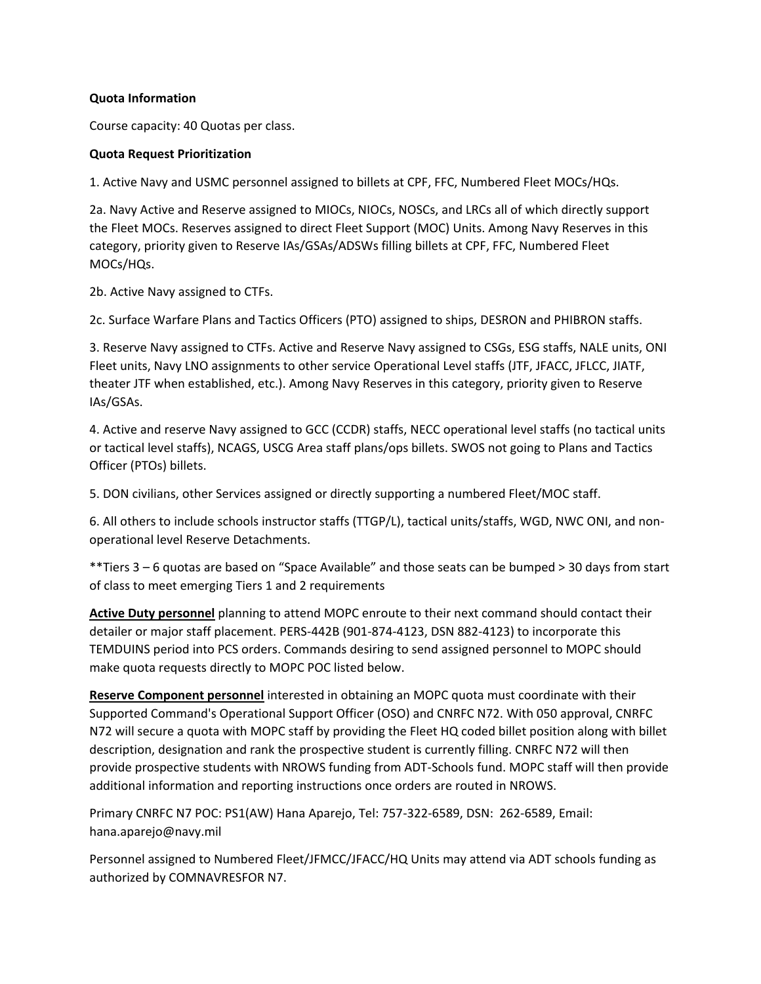# **Quota Information**

Course capacity: 40 Quotas per class.

### **Quota Request Prioritization**

1. Active Navy and USMC personnel assigned to billets at CPF, FFC, Numbered Fleet MOCs/HQs.

2a. Navy Active and Reserve assigned to MIOCs, NIOCs, NOSCs, and LRCs all of which directly support the Fleet MOCs. Reserves assigned to direct Fleet Support (MOC) Units. Among Navy Reserves in this category, priority given to Reserve IAs/GSAs/ADSWs filling billets at CPF, FFC, Numbered Fleet MOCs/HQs.

2b. Active Navy assigned to CTFs.

2c. Surface Warfare Plans and Tactics Officers (PTO) assigned to ships, DESRON and PHIBRON staffs.

3. Reserve Navy assigned to CTFs. Active and Reserve Navy assigned to CSGs, ESG staffs, NALE units, ONI Fleet units, Navy LNO assignments to other service Operational Level staffs (JTF, JFACC, JFLCC, JIATF, theater JTF when established, etc.). Among Navy Reserves in this category, priority given to Reserve IAs/GSAs.

4. Active and reserve Navy assigned to GCC (CCDR) staffs, NECC operational level staffs (no tactical units or tactical level staffs), NCAGS, USCG Area staff plans/ops billets. SWOS not going to Plans and Tactics Officer (PTOs) billets.

5. DON civilians, other Services assigned or directly supporting a numbered Fleet/MOC staff.

6. All others to include schools instructor staffs (TTGP/L), tactical units/staffs, WGD, NWC ONI, and nonoperational level Reserve Detachments.

\*\*Tiers 3 – 6 quotas are based on "Space Available" and those seats can be bumped > 30 days from start of class to meet emerging Tiers 1 and 2 requirements

**Active Duty personnel** planning to attend MOPC enroute to their next command should contact their detailer or major staff placement. PERS-442B (901-874-4123, DSN 882-4123) to incorporate this TEMDUINS period into PCS orders. Commands desiring to send assigned personnel to MOPC should make quota requests directly to MOPC POC listed below.

**Reserve Component personnel** interested in obtaining an MOPC quota must coordinate with their Supported Command's Operational Support Officer (OSO) and CNRFC N72. With 050 approval, CNRFC N72 will secure a quota with MOPC staff by providing the Fleet HQ coded billet position along with billet description, designation and rank the prospective student is currently filling. CNRFC N72 will then provide prospective students with NROWS funding from ADT-Schools fund. MOPC staff will then provide additional information and reporting instructions once orders are routed in NROWS.

Primary CNRFC N7 POC: PS1(AW) Hana Aparejo, Tel: 757-322-6589, DSN: 262-6589, Email: hana.aparejo@navy.mil

Personnel assigned to Numbered Fleet/JFMCC/JFACC/HQ Units may attend via ADT schools funding as authorized by COMNAVRESFOR N7.